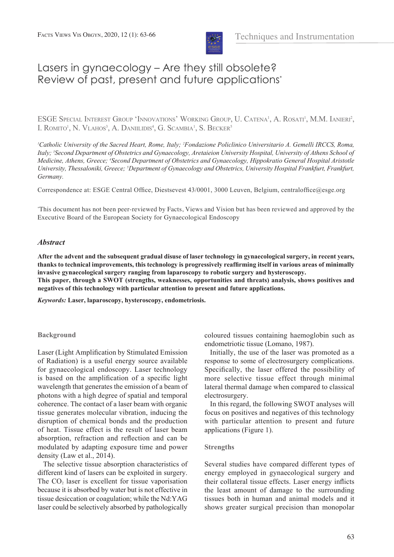

# Lasers in gynaecology – Are they still obsolete? Review of past, present and future applications\*

ESGE SPECIAL INTEREST GROUP 'INNOVATIONS' WORKING GROUP, U. CATENA<sup>1</sup>, A. ROSATI<sup>1</sup>, M.M. IANIERI<sup>2</sup>, I. ROMITO<sup>1</sup>, N. VLAHOS<sup>3</sup>, A. DANIILIDIS<sup>4</sup>, G. SCAMBIA<sup>1</sup>, S. BECKER<sup>5</sup>

<sup>*I*</sup>Catholic University of the Sacred Heart, Rome, Italy; <sup>2</sup>Fondazione Policlinico Universitario A. Gemelli IRCCS, Roma, Italy; <sup>3</sup> Second Department of Obstetrics and Gynaecology, Aretaieion University Hospital, University of Athens School of *Medicine, Athens, Greece; 4 Second Department of Obstetrics and Gynaecology, Hippokratio General Hospital Aristotle*  University, Thessaloniki, Greece; <sup>5</sup>Department of Gynaecology and Obstetrics, University Hospital Frankfurt, Frankfurt, *Germany.*

Correspondence at: ESGE Central Office, Diestsevest 43/0001, 3000 Leuven, Belgium, centraloffice@esge.org

\* This document has not been peer-reviewed by Facts, Views and Vision but has been reviewed and approved by the Executive Board of the European Society for Gynaecological Endoscopy

# *Abstract*

**After the advent and the subsequent gradual disuse of laser technology in gynaecological surgery, in recent years, thanks to technical improvements, this technology is progressively reaffirming itself in various areas of minimally invasive gynaecological surgery ranging from laparoscopy to robotic surgery and hysteroscopy. This paper, through a SWOT (strengths, weaknesses, opportunities and threats) analysis, shows positives and** 

**negatives of this technology with particular attention to present and future applications.**

*Keywords:* **Laser, laparoscopy, hysteroscopy, endometriosis.**

# **Background**

Laser (Light Amplification by Stimulated Emission of Radiation) is a useful energy source available for gynaecological endoscopy. Laser technology is based on the amplification of a specific light wavelength that generates the emission of a beam of photons with a high degree of spatial and temporal coherence. The contact of a laser beam with organic tissue generates molecular vibration, inducing the disruption of chemical bonds and the production of heat. Tissue effect is the result of laser beam absorption, refraction and reflection and can be modulated by adapting exposure time and power density (Law et al., 2014).

The selective tissue absorption characteristics of different kind of lasers can be exploited in surgery. The  $CO<sub>2</sub>$  laser is excellent for tissue vaporisation because it is absorbed by water but is not effective in tissue desiccation or coagulation; while the Nd:YAG laser could be selectively absorbed by pathologically coloured tissues containing haemoglobin such as endometriotic tissue (Lomano, 1987).

Initially, the use of the laser was promoted as a response to some of electrosurgery complications. Specifically, the laser offered the possibility of more selective tissue effect through minimal lateral thermal damage when compared to classical electrosurgery.

In this regard, the following SWOT analyses will focus on positives and negatives of this technology with particular attention to present and future applications (Figure 1).

#### **Strengths**

Several studies have compared different types of energy employed in gynaecological surgery and their collateral tissue effects. Laser energy inflicts the least amount of damage to the surrounding tissues both in human and animal models and it shows greater surgical precision than monopolar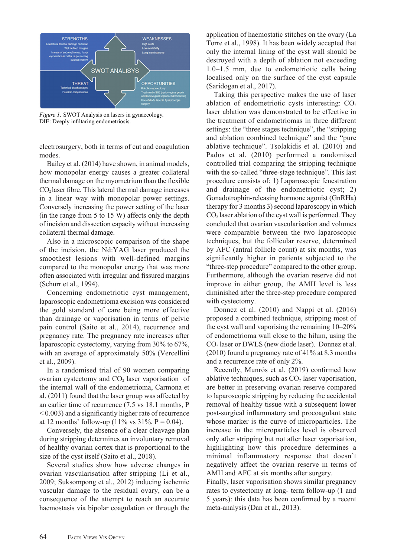

*Figure 1:* SWOT Analysis on lasers in gynaecology. DIE: Deeply infiltaring endometriosis.

electrosurgery, both in terms of cut and coagulation modes.

Bailey et al. (2014) have shown, in animal models, how monopolar energy causes a greater collateral thermal damage on the myometrium than the flexible  $CO<sub>2</sub>$  laser fibre. This lateral thermal damage increases in a linear way with monopolar power settings. Conversely increasing the power setting of the laser (in the range from 5 to 15 W) affects only the depth of incision and dissection capacity without increasing collateral thermal damage.

Also in a microscopic comparison of the shape of the incision, the Nd:YAG laser produced the smoothest lesions with well-defined margins compared to the monopolar energy that was more often associated with irregular and fissured margins (Schurr et al., 1994).

Concerning endometriotic cyst management, laparoscopic endometrioma excision was considered the gold standard of care being more effective than drainage or vaporisation in terms of pelvic pain control (Saito et al., 2014), recurrence and pregnancy rate. The pregnancy rate increases after laparoscopic cystectomy, varying from 30% to 67%, with an average of approximately 50% (Vercellini et al., 2009).

In a randomised trial of 90 women comparing ovarian cystectomy and  $CO<sub>2</sub>$  laser vaporisation of the internal wall of the endometrioma, Carmona et al. (2011) found that the laser group was affected by an earlier time of recurrence (7.5 vs 18.1 months, P < 0.003) and a significantly higher rate of recurrence at 12 months' follow-up (11% vs  $31\%$ , P = 0.04).

Conversely, the absence of a clear cleavage plan during stripping determines an involuntary removal of healthy ovarian cortex that is proportional to the size of the cyst itself (Saito et al., 2018).

Several studies show how adverse changes in ovarian vascularisation after stripping (Li et al., 2009; Suksompong et al., 2012) inducing ischemic vascular damage to the residual ovary, can be a consequence of the attempt to reach an accurate haemostasis via bipolar coagulation or through the application of haemostatic stitches on the ovary (La Torre et al., 1998). It has been widely accepted that only the internal lining of the cyst wall should be destroyed with a depth of ablation not exceeding 1.0–1.5 mm, due to endometriotic cells being localised only on the surface of the cyst capsule (Saridogan et al., 2017).

Taking this perspective makes the use of laser ablation of endometriotic cysts interesting:  $CO<sub>2</sub>$ laser ablation was demonstrated to be effective in the treatment of endometriomas in three different settings: the "three stages technique", the "stripping and ablation combined technique" and the "pure ablative technique". Tsolakidis et al. (2010) and Pados et al. (2010) performed a randomised controlled trial comparing the stripping technique with the so-called "three-stage technique". This last procedure consists of: 1) Laparoscopic fenestration and drainage of the endometriotic cyst; 2) Gonadotrophin-releasing hormone agonist (GnRHa) therapy for 3 months 3) second laparoscopy in which  $CO<sub>2</sub>$  laser ablation of the cyst wall is performed. They concluded that ovarian vascularisation and volumes were comparable between the two laparoscopic techniques, but the follicular reserve, determined by AFC (antral follicle count) at six months, was significantly higher in patients subjected to the "three-step procedure" compared to the other group. Furthermore, although the ovarian reserve did not improve in either group, the AMH level is less diminished after the three-step procedure compared with cystectomy.

Donnez et al. (2010) and Nappi et al. (2016) proposed a combined technique, stripping most of the cyst wall and vaporising the remaining 10–20% of endometrioma wall close to the hilum, using the  $CO<sub>2</sub>$  laser or DWLS (new diode laser). Donnez et al. (2010) found a pregnancy rate of 41% at 8.3 months and a recurrence rate of only 2%.

Recently, Munrós et al. (2019) confirmed how ablative techniques, such as  $CO<sub>2</sub>$  laser vaporisation, are better in preserving ovarian reserve compared to laparoscopic stripping by reducing the accidental removal of healthy tissue with a subsequent lower post-surgical inflammatory and procoagulant state whose marker is the curve of microparticles. The increase in the microparticles level is observed only after stripping but not after laser vaporisation, highlighting how this procedure determines a minimal inflammatory response that doesn't negatively affect the ovarian reserve in terms of AMH and AFC at six months after surgery.

Finally, laser vaporisation shows similar pregnancy rates to cystectomy at long- term follow-up (1 and 5 years): this data has been confirmed by a recent meta-analysis (Dan et al., 2013).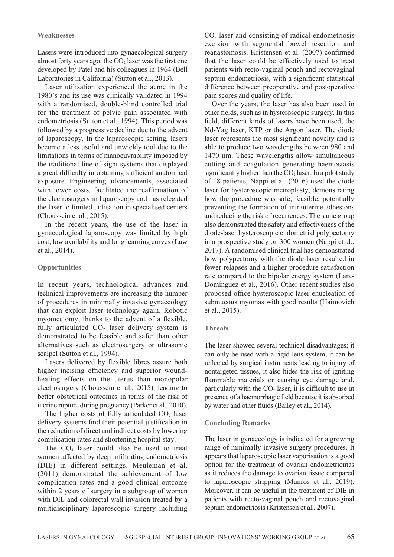### **Weaknesses**

Lasers were introduced into gynaecological surgery almost forty years ago; the  $CO<sub>2</sub>$  laser was the first one developed by Patel and his colleagues in 1964 (Bell Laboratories in California) (Sutton et al., 2013).

Laser utilisation experienced the acme in the 1980's and its use was clinically validated in 1994 with a randomised, double-blind controlled trial for the treatment of pelvic pain associated with endometriosis (Sutton et al., 1994). This period was followed by a progressive decline due to the advent of laparoscopy. In the laparoscopic setting, lasers become a less useful and unwieldy tool due to the limitations in terms of manoeuvrability imposed by the traditional line-of-sight systems that displayed a great difficulty in obtaining sufficient anatomical exposure. Engineering advancements, associated with lower costs, facilitated the reaffirmation of the electrosurgery in laparoscopy and has relegated the laser to limited utilisation in specialised centers (Choussein et al., 2015).

In the recent years, the use of the laser in gynaecological laparoscopy was limited by high cost, low availability and long learning curves (Law et al., 2014).

# **Opportunities**

In recent years, technological advances and technical improvements are increasing the number of procedures in minimally invasive gynaecology that can exploit laser technology again. Robotic myomectomy, thanks to the advent of a flexible, fully articulated  $CO<sub>2</sub>$  laser delivery system is demonstrated to be feasible and safer than other alternatives such as electrosurgery or ultrasonic scalpel (Sutton et al., 1994).

Lasers delivered by flexible fibres assure both higher incising efficiency and superior woundhealing effects on the uterus than monopolar electrosurgery (Choussein et al., 2015), leading to better obstetrical outcomes in terms of the risk of uterine rupture during pregnancy (Parker et al., 2010).

The higher costs of fully articulated  $CO<sub>2</sub>$  laser delivery systems find their potential justification in the reduction of direct and indirect costs by lowering complication rates and shortening hospital stay.

The  $CO<sub>2</sub>$  laser could also be used to treat women affected by deep infiltrating endometriosis (DIE) in different settings. Meuleman et al. (2011) demonstrated the achievement of low complication rates and a good clinical outcome within 2 years of surgery in a subgroup of women with DIE and colorectal wall invasion treated by a multidisciplinary laparoscopic surgery including

CO<sub>2</sub> laser and consisting of radical endometriosis excision with segmental bowel resection and reanastomosis. Kristensen et al. (2007) confirmed that the laser could be effectively used to treat patients with recto-vaginal pouch and rectovaginal septum endometriosis, with a significant statistical difference between preoperative and postoperative pain scores and quality of life.

Over the years, the laser has also been used in other fields, such as in hysteroscopic surgery. In this field, different kinds of lasers have been used; the Nd-Yag laser, KTP or the Argon laser. The diode laser represents the most significant novelty and is able to produce two wavelengths between 980 and 1470 nm. These wavelengths allow simultaneous cutting and coagulation generating haemostasis significantly higher than the  $CO<sub>2</sub>$  laser. In a pilot study of 18 patients, Nappi et al. (2016) used the diode laser for hysteroscopic metroplasty, demonstrating how the procedure was safe, feasible, potentially preventing the formation of intrauterine adhesions and reducing the risk of recurrences. The same group also demonstrated the safety and effectiveness of the diode-laser hysteroscopic endometrial polypectomy in a prospective study on 300 women (Nappi et al., 2017). A randomised clinical trial has demonstrated how polypectomy with the diode laser resulted in fewer relapses and a higher procedure satisfaction rate compared to the bipolar energy system (Lara-Domínguez et al., 2016). Other recent studies also proposed office hysteroscopic laser enucleation of submucous myomas with good results (Haimovich et al., 2015).

# **Threats**

The laser showed several technical disadvantages; it can only be used with a rigid lens system, it can be reflected by surgical instruments leading to injury of nontargeted tissues, it also hides the risk of igniting flammable materials or causing eye damage and, particularly with the  $CO<sub>2</sub>$  laser, it is difficult to use in presence of a haemorrhagic field because it is absorbed by water and other fluids (Bailey et al., 2014).

# **Concluding Remarks**

The laser in gynaecology is indicated for a growing range of minimally invasive surgery procedures. It appears that laparoscopic laser vaporisation is a good option for the treatment of ovarian endometriomas as it reduces the damage to ovarian tissue compared to laparoscopic stripping (Munrós et al., 2019). Moreover, it can be useful in the treatment of DIE in patients with recto-vaginal pouch and rectovaginal septum endometriosis (Kristensen et al., 2007).